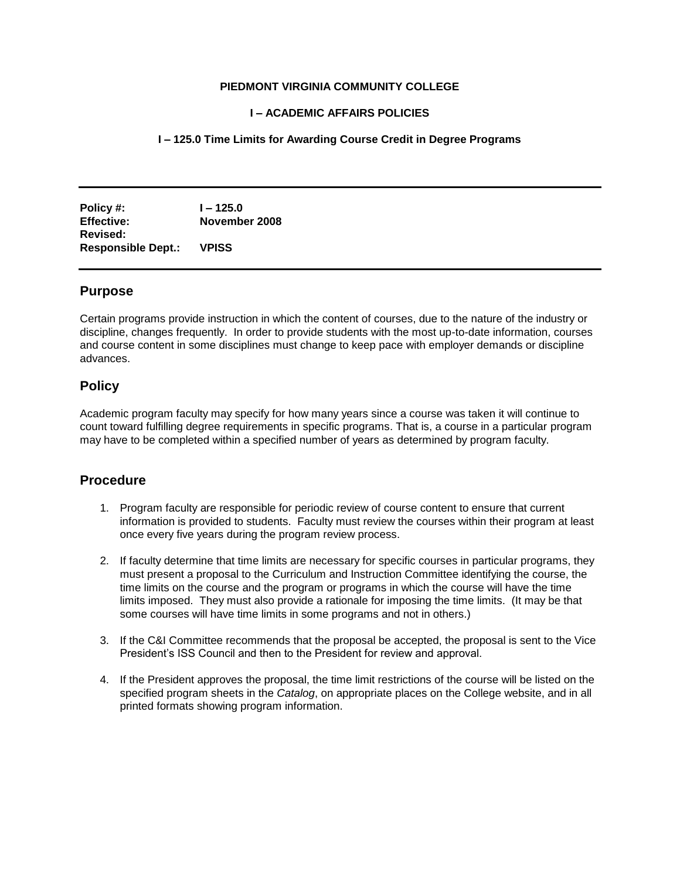#### **PIEDMONT VIRGINIA COMMUNITY COLLEGE**

### **I – ACADEMIC AFFAIRS POLICIES**

## **I – 125.0 Time Limits for Awarding Course Credit in Degree Programs**

**Policy #: I – 125.0 Effective: November 2008 Revised: Responsible Dept.: VPISS**

#### **Purpose**

Certain programs provide instruction in which the content of courses, due to the nature of the industry or discipline, changes frequently. In order to provide students with the most up-to-date information, courses and course content in some disciplines must change to keep pace with employer demands or discipline advances.

## **Policy**

Academic program faculty may specify for how many years since a course was taken it will continue to count toward fulfilling degree requirements in specific programs. That is, a course in a particular program may have to be completed within a specified number of years as determined by program faculty.

# **Procedure**

- 1. Program faculty are responsible for periodic review of course content to ensure that current information is provided to students. Faculty must review the courses within their program at least once every five years during the program review process.
- 2. If faculty determine that time limits are necessary for specific courses in particular programs, they must present a proposal to the Curriculum and Instruction Committee identifying the course, the time limits on the course and the program or programs in which the course will have the time limits imposed. They must also provide a rationale for imposing the time limits. (It may be that some courses will have time limits in some programs and not in others.)
- 3. If the C&I Committee recommends that the proposal be accepted, the proposal is sent to the Vice President's ISS Council and then to the President for review and approval.
- 4. If the President approves the proposal, the time limit restrictions of the course will be listed on the specified program sheets in the *Catalog*, on appropriate places on the College website, and in all printed formats showing program information.